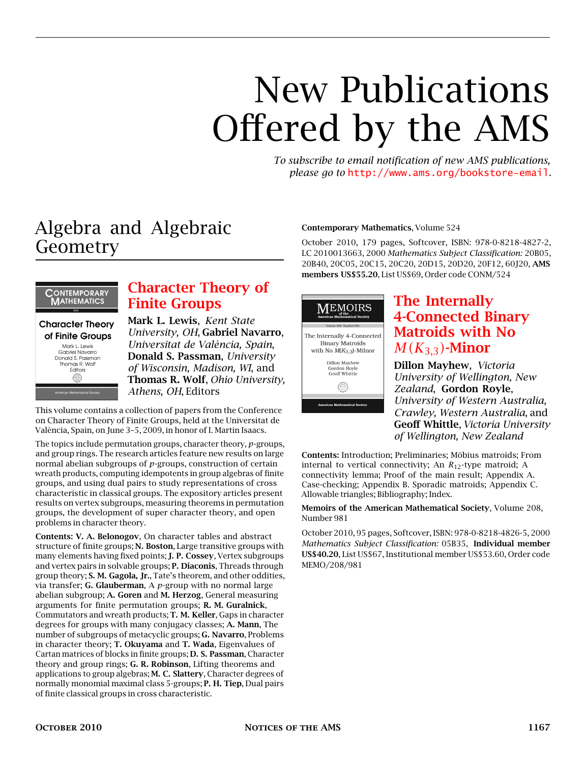# New Publications Offered by the AMS

*To subscribe to email notification of new AMS publications, please go to* <http://www.ams.org/bookstore-email>*.*

### Algebra and Algebraic Geometry



#### [Character Theory of](http://www.ams.org/bookstore-getitem/item=conm-524) [Finite Groups](http://www.ams.org/bookstore-getitem/item=conm-524)

Mark L. Lewis, *Kent State University, OH*, Gabriel Navarro, *Universitat de València, Spain*, Donald S. Passman, *University of Wisconsin, Madison, WI*, and Thomas R. Wolf, *Ohio University, Athens, OH*, Editors

This volume contains a collection of papers from the Conference on Character Theory of Finite Groups, held at the Universitat de València, Spain, on June 3–5, 2009, in honor of I. Martin Isaacs.

The topics include permutation groups, character theory, *p*-groups, and group rings. The research articles feature new results on large normal abelian subgroups of *p*-groups, construction of certain wreath products, computing idempotents in group algebras of finite groups, and using dual pairs to study representations of cross characteristic in classical groups. The expository articles present results on vertex subgroups, measuring theorems in permutation groups, the development of super character theory, and open problems in character theory.

Contents: V. A. Belonogov, On character tables and abstract structure of finite groups; N. Boston, Large transitive groups with many elements having fixed points; J. P. Cossey, Vertex subgroups and vertex pairs in solvable groups; P. Diaconis, Threads through group theory; S. M. Gagola, Jr., Tate's theorem, and other oddities, via transfer; G. Glauberman, A *p*-group with no normal large abelian subgroup; A. Goren and M. Herzog, General measuring arguments for finite permutation groups; R. M. Guralnick, Commutators and wreath products; T. M. Keller, Gaps in character degrees for groups with many conjugacy classes; A. Mann, The number of subgroups of metacyclic groups; G. Navarro, Problems in character theory; T. Okuyama and T. Wada, Eigenvalues of Cartan matrices of blocks in finite groups; D. S. Passman, Character theory and group rings; G. R. Robinson, Lifting theorems and applications to group algebras; M. C. Slattery, Character degrees of normally monomial maximal class 5-groups; P. H. Tiep, Dual pairs of finite classical groups in cross characteristic.

#### Contemporary Mathematics, Volume 524

October 2010, 179 pages, Softcover, ISBN: 978-0-8218-4827-2, LC 2010013663, 2000 *Mathematics Subject Classification:* 20B05, 20B40, 20C05, 20C15, 20C20, 20D15, 20D20, 20F12, 60J20, AMS members US\$55.20, List US\$69, Order code CONM/524



#### [The Internally](http://www.ams.org/bookstore-getitem/item=memo-208-981) [4-Connected Binary](http://www.ams.org/bookstore-getitem/item=memo-208-981) [Matroids with No](http://www.ams.org/bookstore-getitem/item=memo-208-981)  $M(K_{3,3})$ [-Minor](http://www.ams.org/bookstore-getitem/item=memo-208-981)

Dillon Mayhew, *Victoria University of Wellington, New Zealand*, Gordon Royle, *University of Western Australia, Crawley, Western Australia*, and Geoff Whittle, *Victoria University of Wellington, New Zealand*

Contents: Introduction; Preliminaries; Möbius matroids; From internal to vertical connectivity; An *R*12-type matroid; A connectivity lemma; Proof of the main result; Appendix A. Case-checking; Appendix B. Sporadic matroids; Appendix C. Allowable triangles; Bibliography; Index.

Memoirs of the American Mathematical Society, Volume 208, Number 981

October 2010, 95 pages, Softcover, ISBN: 978-0-8218-4826-5, 2000 *Mathematics Subject Classification:* 05B35, Individual member US\$40.20, List US\$67, Institutional member US\$53.60, Order code MEMO/208/981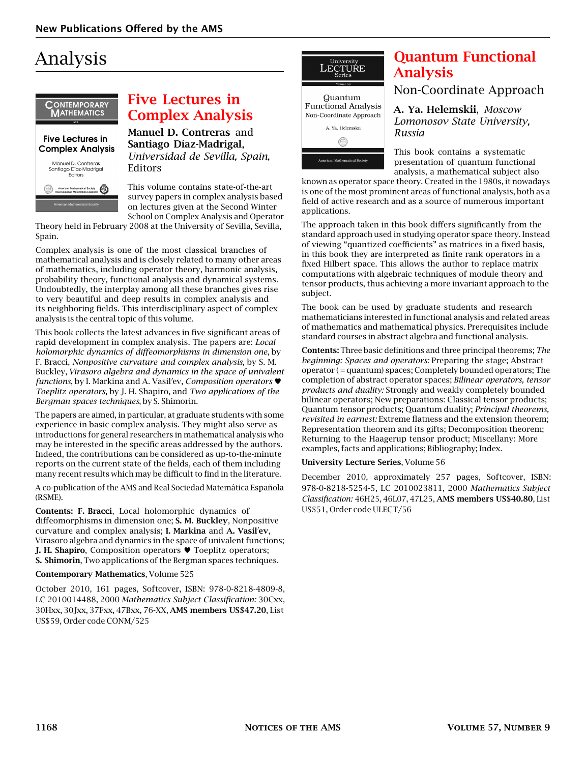## Analysis



#### [Five Lectures in](http://www.ams.org/bookstore-getitem/item=conm-525) [Complex Analysis](http://www.ams.org/bookstore-getitem/item=conm-525)

Manuel D. Contreras and Santiago Díaz-Madrigal, *Universidad de Sevilla, Spain*, Editors

This volume contains state-of-the-art survey papers in complex analysis based on lectures given at the Second Winter School on Complex Analysis and Operator

Theory held in February 2008 at the University of Sevilla, Sevilla, Spain.

Complex analysis is one of the most classical branches of mathematical analysis and is closely related to many other areas of mathematics, including operator theory, harmonic analysis, probability theory, functional analysis and dynamical systems. Undoubtedly, the interplay among all these branches gives rise to very beautiful and deep results in complex analysis and its neighboring fields. This interdisciplinary aspect of complex analysis is the central topic of this volume.

This book collects the latest advances in five significant areas of rapid development in complex analysis. The papers are: *Local holomorphic dynamics of diffeomorphisms in dimension one*, by F. Bracci, *Nonpositive curvature and complex analysis*, by S. M. Buckley, *Virasoro algebra and dynamics in the space of univalent functions*, by I. Markina and A. Vasil'ev, *Composition operators* ♥ *Toeplitz operators*, by J. H. Shapiro, and *Two applications of the Bergman spaces techniques*, by S. Shimorin.

The papers are aimed, in particular, at graduate students with some experience in basic complex analysis. They might also serve as introductions for general researchers in mathematical analysis who may be interested in the specific areas addressed by the authors. Indeed, the contributions can be considered as up-to-the-minute reports on the current state of the fields, each of them including many recent results which may be difficult to find in the literature.

A co-publication of the AMS and Real Sociedad Matemática Española (RSME).

Contents: F. Bracci, Local holomorphic dynamics of diffeomorphisms in dimension one; S. M. Buckley, Nonpositive curvature and complex analysis; I. Markina and A. Vasil'ev, Virasoro algebra and dynamics in the space of univalent functions; J. H. Shapiro, Composition operators ♥ Toeplitz operators; S. Shimorin, Two applications of the Bergman spaces techniques.

Contemporary Mathematics, Volume 525

October 2010, 161 pages, Softcover, ISBN: 978-0-8218-4809-8, LC 2010014488, 2000 *Mathematics Subject Classification:* 30Cxx, 30Hxx, 30Jxx, 37Fxx, 47Bxx, 76-XX, AMS members US\$47.20, List US\$59, Order code CONM/525



### [Quantum Functional](http://www.ams.org/bookstore-getitem/item=ulect-56) [Analysis](http://www.ams.org/bookstore-getitem/item=ulect-56)

#### Non-Coordinate Approach

A. Ya. Helemskii, *Moscow Lomonosov State University, Russia*

This book contains a systematic presentation of quantum functional analysis, a mathematical subject also

known as operator space theory. Created in the 1980s, it nowadays is one of the most prominent areas of functional analysis, both as a field of active research and as a source of numerous important applications.

The approach taken in this book differs significantly from the standard approach used in studying operator space theory. Instead of viewing "quantized coefficients" as matrices in a fixed basis, in this book they are interpreted as finite rank operators in a fixed Hilbert space. This allows the author to replace matrix computations with algebraic techniques of module theory and tensor products, thus achieving a more invariant approach to the subject.

The book can be used by graduate students and research mathematicians interested in functional analysis and related areas of mathematics and mathematical physics. Prerequisites include standard courses in abstract algebra and functional analysis.

Contents: Three basic definitions and three principal theorems; *The beginning: Spaces and operators:* Preparing the stage; Abstract operator ( = quantum) spaces; Completely bounded operators; The completion of abstract operator spaces; *Bilinear operators, tensor products and duality:* Strongly and weakly completely bounded bilinear operators; New preparations: Classical tensor products; Quantum tensor products; Quantum duality; *Principal theorems, revisited in earnest:* Extreme flatness and the extension theorem; Representation theorem and its gifts; Decomposition theorem; Returning to the Haagerup tensor product; Miscellany: More examples, facts and applications; Bibliography; Index.

#### University Lecture Series, Volume 56

December 2010, approximately 257 pages, Softcover, ISBN: 978-0-8218-5254-5, LC 2010023811, 2000 *Mathematics Subject Classification:* 46H25, 46L07, 47L25, AMS members US\$40.80, List US\$51, Order code ULECT/56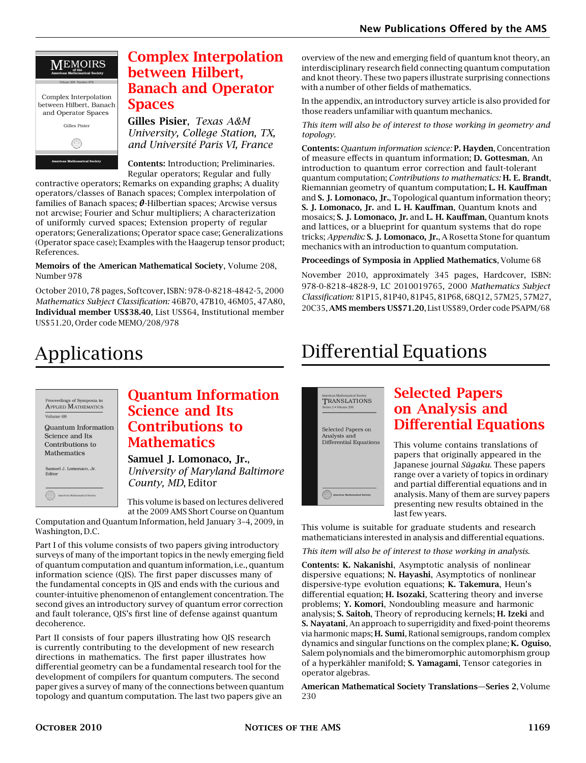### **MEMOIRS** Complex Interpolation between Hilbert, Banach and Operator Spaces Gilles Pisier </u>

#### [Complex Interpolation](http://www.ams.org/bookstore-getitem/item=memo-208-978) [between Hilbert,](http://www.ams.org/bookstore-getitem/item=memo-208-978) [Banach and Operator](http://www.ams.org/bookstore-getitem/item=memo-208-978) **[Spaces](http://www.ams.org/bookstore-getitem/item=memo-208-978)**

Gilles Pisier, *Texas A&M University, College Station, TX, and Université Paris VI, France*

Contents: Introduction; Preliminaries. Regular operators; Regular and fully

contractive operators; Remarks on expanding graphs; A duality operators/classes of Banach spaces; Complex interpolation of families of Banach spaces; *θ*-Hilbertian spaces; Arcwise versus not arcwise; Fourier and Schur multipliers; A characterization of uniformly curved spaces; Extension property of regular operators; Generalizations; Operator space case; Generalizations (Operator space case); Examples with the Haagerup tensor product; References.

Memoirs of the American Mathematical Society, Volume 208, Number 978

October 2010, 78 pages, Softcover, ISBN: 978-0-8218-4842-5, 2000 *Mathematics Subject Classification:* 46B70, 47B10, 46M05, 47A80, Individual member US\$38.40, List US\$64, Institutional member US\$51.20, Order code MEMO/208/978

overview of the new and emerging field of quantum knot theory, an interdisciplinary research field connecting quantum computation and knot theory. These two papers illustrate surprising connections with a number of other fields of mathematics.

In the appendix, an introductory survey article is also provided for those readers unfamiliar with quantum mechanics.

*This item will also be of interest to those working in geometry and topology.*

Contents: *Quantum information science:* P. Hayden, Concentration of measure effects in quantum information; D. Gottesman, An introduction to quantum error correction and fault-tolerant quantum computation; *Contributions to mathematics:* H. E. Brandt, Riemannian geometry of quantum computation; L. H. Kauffman and S. J. Lomonaco, Jr., Topological quantum information theory; S. J. Lomonaco, Jr. and L. H. Kauffman, Quantum knots and mosaics; S. J. Lomonaco, Jr. and L. H. Kauffman, Quantum knots and lattices, or a blueprint for quantum systems that do rope tricks; *Appendix:* S. J. Lomonaco, Jr., A Rosetta Stone for quantum mechanics with an introduction to quantum computation.

#### Proceedings of Symposia in Applied Mathematics, Volume 68

November 2010, approximately 345 pages, Hardcover, ISBN: 978-0-8218-4828-9, LC 2010019765, 2000 *Mathematics Subject Classification:* 81P15, 81P40, 81P45, 81P68, 68Q12, 57M25, 57M27, 20C35, AMS members US\$71.20, List US\$89, Order code PSAPM/68

# Applications

| Proceedings of Symposia in<br><b>APPLIED MATHEMATICS</b> |
|----------------------------------------------------------|
| Volume 68<br>Quantum Information<br>Science and Its      |
| Contributions to<br>Mathematics                          |
| Samuel J. Lomonaco, Jr.<br>Editor                        |
| American Mathematical Society                            |

#### [Quantum Information](http://www.ams.org/bookstore-getitem/item=psapm-68) [Science and Its](http://www.ams.org/bookstore-getitem/item=psapm-68) [Contributions to](http://www.ams.org/bookstore-getitem/item=psapm-68) **[Mathematics](http://www.ams.org/bookstore-getitem/item=psapm-68)**

Samuel J. Lomonaco, Jr., *University of Maryland Baltimore County, MD*, Editor

This volume is based on lectures delivered at the 2009 AMS Short Course on Quantum

Computation and Quantum Information, held January 3–4, 2009, in Washington, D.C.

Part I of this volume consists of two papers giving introductory surveys of many of the important topics in the newly emerging field of quantum computation and quantum information, i.e., quantum information science (QIS). The first paper discusses many of the fundamental concepts in QIS and ends with the curious and counter-intuitive phenomenon of entanglement concentration. The second gives an introductory survey of quantum error correction and fault tolerance, QIS's first line of defense against quantum decoherence.

Part II consists of four papers illustrating how QIS research is currently contributing to the development of new research directions in mathematics. The first paper illustrates how differential geometry can be a fundamental research tool for the development of compilers for quantum computers. The second paper gives a survey of many of the connections between quantum topology and quantum computation. The last two papers give an

# Differential Equations



### [Selected Papers](http://www.ams.org/bookstore-getitem/item=trans2-230) [on Analysis and](http://www.ams.org/bookstore-getitem/item=trans2-230) [Differential Equations](http://www.ams.org/bookstore-getitem/item=trans2-230)

This volume contains translations of papers that originally appeared in the Japanese journal *Sūgaku*. These papers range over a variety of topics in ordinary and partial differential equations and in analysis. Many of them are survey papers presenting new results obtained in the last few years.

This volume is suitable for graduate students and research mathematicians interested in analysis and differential equations.

*This item will also be of interest to those working in analysis.*

Contents: K. Nakanishi, Asymptotic analysis of nonlinear dispersive equations; N. Hayashi, Asymptotics of nonlinear dispersive-type evolution equations; K. Takemura, Heun's differential equation; H. Isozaki, Scattering theory and inverse problems; Y. Komori, Nondoubling measure and harmonic analysis; S. Saitoh, Theory of reproducing kernels; H. Izeki and S. Nayatani, An approach to superrigidity and fixed-point theorems via harmonic maps; H. Sumi, Rational semigroups, random complex dynamics and singular functions on the complex plane; K. Oguiso, Salem polynomials and the bimeromorphic automorphism group of a hyperkähler manifold; S. Yamagami, Tensor categories in operator algebras.

American Mathematical Society Translations—Series 2, Volume 230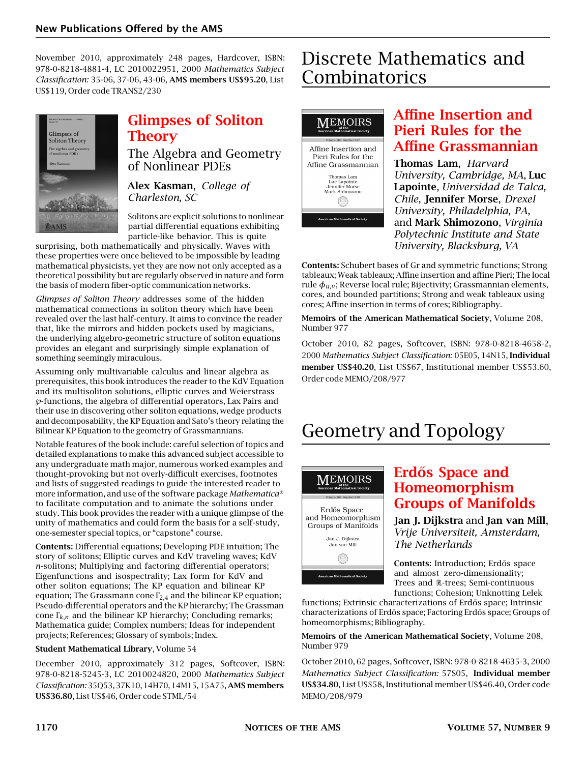November 2010, approximately 248 pages, Hardcover, ISBN: 978-0-8218-4881-4, LC 2010022951, 2000 *Mathematics Subject Classification:* 35-06, 37-06, 43-06, AMS members US\$95.20, List US\$119, Order code TRANS2/230



### [Glimpses of Soliton](http://www.ams.org/bookstore-getitem/item=stml-54) [Theory](http://www.ams.org/bookstore-getitem/item=stml-54)

The Algebra and Geometry of Nonlinear PDEs

Alex Kasman, *College of Charleston, SC*

Solitons are explicit solutions to nonlinear partial differential equations exhibiting particle-like behavior. This is quite

surprising, both mathematically and physically. Waves with these properties were once believed to be impossible by leading mathematical physicists, yet they are now not only accepted as a theoretical possibility but are regularly observed in nature and form the basis of modern fiber-optic communication networks.

*Glimpses of Soliton Theory* addresses some of the hidden mathematical connections in soliton theory which have been revealed over the last half-century. It aims to convince the reader that, like the mirrors and hidden pockets used by magicians, the underlying algebro-geometric structure of soliton equations provides an elegant and surprisingly simple explanation of something seemingly miraculous.

Assuming only multivariable calculus and linear algebra as prerequisites, this book introduces the reader to the KdV Equation and its multisoliton solutions, elliptic curves and Weierstrass *℘*-functions, the algebra of differential operators, Lax Pairs and their use in discovering other soliton equations, wedge products and decomposability, the KP Equation and Sato's theory relating the Bilinear KP Equation to the geometry of Grassmannians.

Notable features of the book include: careful selection of topics and detailed explanations to make this advanced subject accessible to any undergraduate math major, numerous worked examples and thought-provoking but not overly-difficult exercises, footnotes and lists of suggested readings to guide the interested reader to more information, and use of the software package *Mathematica*® to facilitate computation and to animate the solutions under study. This book provides the reader with a unique glimpse of the unity of mathematics and could form the basis for a self-study, one-semester special topics, or "capstone" course.

Contents: Differential equations; Developing PDE intuition; The story of solitons; Elliptic curves and KdV traveling waves; KdV *n*-solitons; Multiplying and factoring differential operators; Eigenfunctions and isospectrality; Lax form for KdV and other soliton equations; The KP equation and bilinear KP equation; The Grassmann cone <sup>Γ</sup>2*,*<sup>4</sup> and the bilinear KP equation; Pseudo-differential operators and the KP hierarchy; The Grassman cone <sup>Γ</sup>*k,n* and the bilinear KP hierarchy; Concluding remarks; Mathematica guide; Complex numbers; Ideas for independent projects; References; Glossary of symbols; Index.

#### Student Mathematical Library, Volume 54

December 2010, approximately 312 pages, Softcover, ISBN: 978-0-8218-5245-3, LC 2010024820, 2000 *Mathematics Subject Classification:* 35Q53, 37K10, 14H70, 14M15, 15A75,AMS members US\$36.80, List US\$46, Order code STML/54

### Discrete Mathematics and Combinatorics



#### [Affine Insertion and](http://www.ams.org/bookstore-getitem/item=memo-208-977) [Pieri Rules for the](http://www.ams.org/bookstore-getitem/item=memo-208-977) [Affine Grassmannian](http://www.ams.org/bookstore-getitem/item=memo-208-977)

Thomas Lam, *Harvard University, Cambridge, MA*, Luc Lapointe, *Universidad de Talca, Chile*, Jennifer Morse, *Drexel University, Philadelphia, PA*, and Mark Shimozono, *Virginia Polytechnic Institute and State University, Blacksburg, VA*

Contents: Schubert bases of Gr and symmetric functions; Strong tableaux; Weak tableaux; Affine insertion and affine Pieri; The local rule  $\phi_{uv}$ ; Reverse local rule; Bijectivity; Grassmannian elements, cores, and bounded partitions; Strong and weak tableaux using cores; Affine insertion in terms of cores; Bibliography.

Memoirs of the American Mathematical Society, Volume 208, Number 977

October 2010, 82 pages, Softcover, ISBN: 978-0-8218-4658-2, 2000 *Mathematics Subject Classification:* 05E05, 14N15, Individual member US\$40.20, List US\$67, Institutional member US\$53.60, Order code MEMO/208/977

# Geometry and Topology



### Erdős Space and [Homeomorphism](http://www.ams.org/bookstore-getitem/item=memo-208-979) [Groups of Manifolds](http://www.ams.org/bookstore-getitem/item=memo-208-979)

Jan J. Dijkstra and Jan van Mill, *Vrije Universiteit, Amsterdam, The Netherlands*

Contents: Introduction; Erdős space and almost zero-dimensionality; Trees and R-trees; Semi-continuous functions; Cohesion; Unknotting Lelek

functions; Extrinsic characterizations of Erdős space; Intrinsic characterizations of Erdős space; Factoring Erdős space; Groups of homeomorphisms; Bibliography.

Memoirs of the American Mathematical Society, Volume 208, Number 979

October 2010, 62 pages, Softcover, ISBN: 978-0-8218-4635-3, 2000 *Mathematics Subject Classification:* 57S05, Individual member US\$34.80, List US\$58, Institutional member US\$46.40, Order code MEMO/208/979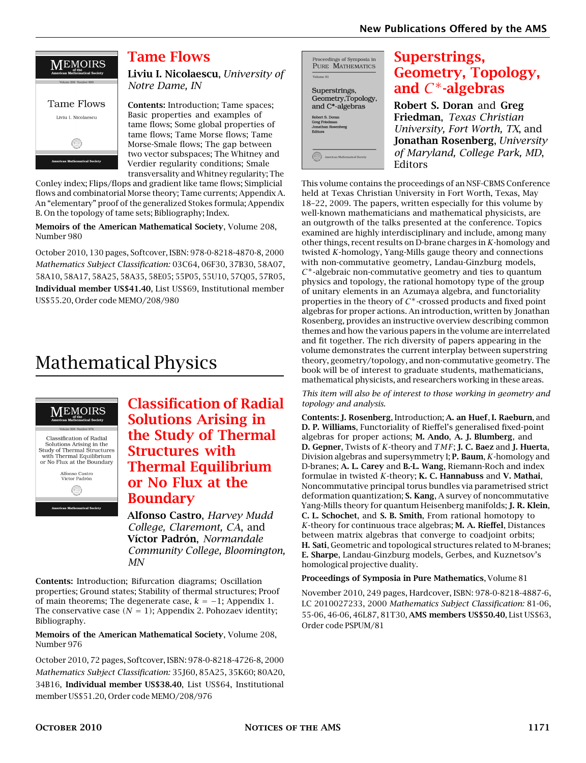

#### [Tame Flows](http://www.ams.org/bookstore-getitem/item=memo-208-980)

Liviu I. Nicolaescu, *University of Notre Dame, IN*

Contents: Introduction; Tame spaces; Basic properties and examples of tame flows; Some global properties of tame flows; Tame Morse flows; Tame Morse-Smale flows; The gap between two vector subspaces; The Whitney and Verdier regularity conditions; Smale transversality and Whitney regularity; The

Conley index; Flips/flops and gradient like tame flows; Simplicial flows and combinatorial Morse theory; Tame currents; Appendix A. An "elementary" proof of the generalized Stokes formula; Appendix B. On the topology of tame sets; Bibliography; Index.

Memoirs of the American Mathematical Society, Volume 208, Number 980

October 2010, 130 pages, Softcover, ISBN: 978-0-8218-4870-8, 2000 *Mathematics Subject Classification:* 03C64, 06F30, 37B30, 58A07, 58A10, 58A17, 58A25, 58A35, 58E05; 55P05, 55U10, 57Q05, 57R05, Individual member US\$41.40, List US\$69, Institutional member US\$55.20, Order code MEMO/208/980

# Mathematical Physics



[Classification of Radial](http://www.ams.org/bookstore-getitem/item=memo-208-976) [Solutions Arising in](http://www.ams.org/bookstore-getitem/item=memo-208-976) [the Study of Thermal](http://www.ams.org/bookstore-getitem/item=memo-208-976) [Structures with](http://www.ams.org/bookstore-getitem/item=memo-208-976) [Thermal Equilibrium](http://www.ams.org/bookstore-getitem/item=memo-208-976) [or No Flux at the](http://www.ams.org/bookstore-getitem/item=memo-208-976) [Boundary](http://www.ams.org/bookstore-getitem/item=memo-208-976)

Alfonso Castro, *Harvey Mudd College, Claremont, CA*, and Víctor Padrón, *Normandale Community College, Bloomington, MN*

Contents: Introduction; Bifurcation diagrams; Oscillation properties; Ground states; Stability of thermal structures; Proof of main theorems; The degenerate case, *k* = −1; Appendix 1. The conservative case  $(N = 1)$ ; Appendix 2. Pohozaev identity; Bibliography.

Memoirs of the American Mathematical Society, Volume 208, Number 976

October 2010, 72 pages, Softcover, ISBN: 978-0-8218-4726-8, 2000 *Mathematics Subject Classification:* 35J60, 85A25, 35K60; 80A20, 34B16, Individual member US\$38.40, List US\$64, Institutional member US\$51.20, Order code MEMO/208/976

Proceedings of Symposia in PURE MATHEMATICS Volume 81 Superstrings, Geometry, Topology, and C\*-algebras

#### [Superstrings,](http://www.ams.org/bookstore-getitem/item=pspum-81) [Geometry, Topology,](http://www.ams.org/bookstore-getitem/item=pspum-81) and *C* <sup>∗</sup>[-algebras](http://www.ams.org/bookstore-getitem/item=pspum-81)

Robert S. Doran and Greg Friedman, *Texas Christian University, Fort Worth, TX*, and Jonathan Rosenberg, *University of Maryland, College Park, MD*, Editors

This volume contains the proceedings of an NSF-CBMS Conference held at Texas Christian University in Fort Worth, Texas, May 18–22, 2009. The papers, written especially for this volume by well-known mathematicians and mathematical physicists, are an outgrowth of the talks presented at the conference. Topics examined are highly interdisciplinary and include, among many other things, recent results on D-brane charges in *K*-homology and twisted *K*-homology, Yang-Mills gauge theory and connections with non-commutative geometry, Landau-Ginzburg models, *C* <sup>∗</sup>-algebraic non-commutative geometry and ties to quantum physics and topology, the rational homotopy type of the group of unitary elements in an Azumaya algebra, and functoriality properties in the theory of *C* <sup>∗</sup>-crossed products and fixed point algebras for proper actions. An introduction, written by Jonathan Rosenberg, provides an instructive overview describing common themes and how the various papers in the volume are interrelated and fit together. The rich diversity of papers appearing in the volume demonstrates the current interplay between superstring theory, geometry/topology, and non-commutative geometry. The book will be of interest to graduate students, mathematicians, mathematical physicists, and researchers working in these areas.

*This item will also be of interest to those working in geometry and topology and analysis.*

Contents: J. Rosenberg, Introduction; A. an Huef, I. Raeburn, and D. P. Williams, Functoriality of Rieffel's generalised fixed-point algebras for proper actions; M. Ando, A. J. Blumberg, and D. Gepner, Twists of *K*-theory and *TMF*; J. C. Baez and J. Huerta, Division algebras and supersymmetry I; P. Baum, *K*-homology and D-branes; A. L. Carey and B.-L. Wang, Riemann-Roch and index formulae in twisted *K*-theory; K. C. Hannabuss and V. Mathai, Noncommutative principal torus bundles via parametrised strict deformation quantization; S. Kang, A survey of noncommutative Yang-Mills theory for quantum Heisenberg manifolds; J. R. Klein, C. L. Schochet, and S. B. Smith, From rational homotopy to *K*-theory for continuous trace algebras; M. A. Rieffel, Distances between matrix algebras that converge to coadjoint orbits; H. Sati, Geometric and topological structures related to M-branes; E. Sharpe, Landau-Ginzburg models, Gerbes, and Kuznetsov's homological projective duality.

Proceedings of Symposia in Pure Mathematics, Volume 81

November 2010, 249 pages, Hardcover, ISBN: 978-0-8218-4887-6, LC 2010027233, 2000 *Mathematics Subject Classification:* 81-06, 55-06, 46-06, 46L87, 81T30, AMS members US\$50.40, List US\$63, Order code PSPUM/81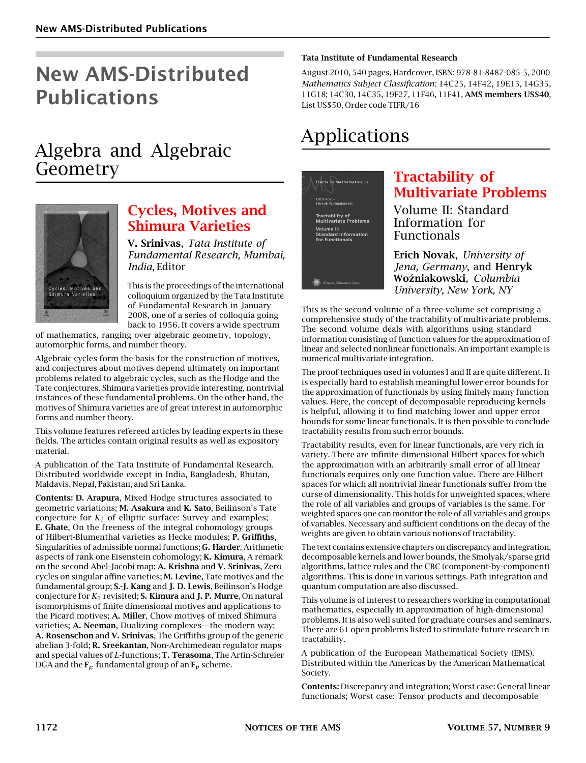# New AMS-Distributed Publications

### Algebra and Algebraic Geometry



#### [Cycles, Motives and](http://www.ams.org/bookstore-getitem/item=tifr-16) [Shimura Varieties](http://www.ams.org/bookstore-getitem/item=tifr-16)

V. Srinivas, *Tata Institute of Fundamental Research, Mumbai, India*, Editor

This is the proceedings of the international colloquium organized by the Tata Institute of Fundamental Research in January 2008, one of a series of colloquia going back to 1956. It covers a wide spectrum

of mathematics, ranging over algebraic geometry, topology, automorphic forms, and number theory.

Algebraic cycles form the basis for the construction of motives, and conjectures about motives depend ultimately on important problems related to algebraic cycles, such as the Hodge and the Tate conjectures. Shimura varieties provide interesting, nontrivial instances of these fundamental problems. On the other hand, the motives of Shimura varieties are of great interest in automorphic forms and number theory.

This volume features refereed articles by leading experts in these fields. The articles contain original results as well as expository material.

A publication of the Tata Institute of Fundamental Research. Distributed worldwide except in India, Bangladesh, Bhutan, Maldavis, Nepal, Pakistan, and Sri Lanka.

Contents: D. Arapura, Mixed Hodge structures associated to geometric variations; M. Asakura and K. Sato, Beilinson's Tate conjecture for  $K_2$  of elliptic surface: Survey and examples; E. Ghate, On the freeness of the integral cohomology groups of Hilbert-Blumenthal varieties as Hecke modules; P. Griffiths, Singularities of admissible normal functions; G. Harder, Arithmetic aspects of rank one Eisenstein cohomology; K. Kimura, A remark on the second Abel-Jacobi map; A. Krishna and V. Srinivas, Zero cycles on singular affine varieties; M. Levine, Tate motives and the fundamental group; S.-J. Kang and J. D. Lewis, Beilinson's Hodge conjecture for *K*<sup>1</sup> revisited; S. Kimura and J. P. Murre, On natural isomorphisms of finite dimensional motives and applications to the Picard motives; A. Miller, Chow motives of mixed Shimura varieties; A. Neeman, Dualizing complexes—the modern way; A. Rosenschon and V. Srinivas, The Griffiths group of the generic abelian 3-fold; R. Sreekantan, Non-Archimedean regulator maps and special values of *L*-functions; T. Terasoma, The Artin-Schreier DGA and the  $\mathbf{F}_p$ -fundamental group of an  $\mathbf{F}_p$  scheme.

#### Tata Institute of Fundamental Research

August 2010, 540 pages, Hardcover, ISBN: 978-81-8487-085-5, 2000 *Mathematics Subject Classification:* 14C25, 14F42, 19E15, 14G35, 11G18; 14C30, 14C35, 19F27, 11F46, 11F41, AMS members US\$40, List US\$50, Order code TIFR/16

### Applications

.<br>Tracts in Mathematics 12 <sup>.</sup>actability of<br>Iultivariate Problems ...<br>rd Information

### [Tractability of](http://www.ams.org/bookstore-getitem/item=emstm-12) [Multivariate Problems](http://www.ams.org/bookstore-getitem/item=emstm-12)

Volume II: Standard Information for Functionals

Erich Novak, *University of Jena, Germany*, and Henryk Wo´zniakowski, *Columbia University, New York, NY*

This is the second volume of a three-volume set comprising a comprehensive study of the tractability of multivariate problems. The second volume deals with algorithms using standard information consisting of function values for the approximation of linear and selected nonlinear functionals. An important example is numerical multivariate integration.

The proof techniques used in volumes I and II are quite different. It is especially hard to establish meaningful lower error bounds for the approximation of functionals by using finitely many function values. Here, the concept of decomposable reproducing kernels is helpful, allowing it to find matching lower and upper error bounds for some linear functionals. It is then possible to conclude tractability results from such error bounds.

Tractability results, even for linear functionals, are very rich in variety. There are infinite-dimensional Hilbert spaces for which the approximation with an arbitrarily small error of all linear functionals requires only one function value. There are Hilbert spaces for which all nontrivial linear functionals suffer from the curse of dimensionality. This holds for unweighted spaces, where the role of all variables and groups of variables is the same. For weighted spaces one can monitor the role of all variables and groups of variables. Necessary and sufficient conditions on the decay of the weights are given to obtain various notions of tractability.

The text contains extensive chapters on discrepancy and integration, decomposable kernels and lower bounds, the Smolyak/sparse grid algorithms, lattice rules and the CBC (component-by-component) algorithms. This is done in various settings. Path integration and quantum computation are also discussed.

This volume is of interest to researchers working in computational mathematics, especially in approximation of high-dimensional problems. It is also well suited for graduate courses and seminars. There are 61 open problems listed to stimulate future research in tractability.

A publication of the European Mathematical Society (EMS). Distributed within the Americas by the American Mathematical Society.

Contents: Discrepancy and integration; Worst case: General linear functionals; Worst case: Tensor products and decomposable